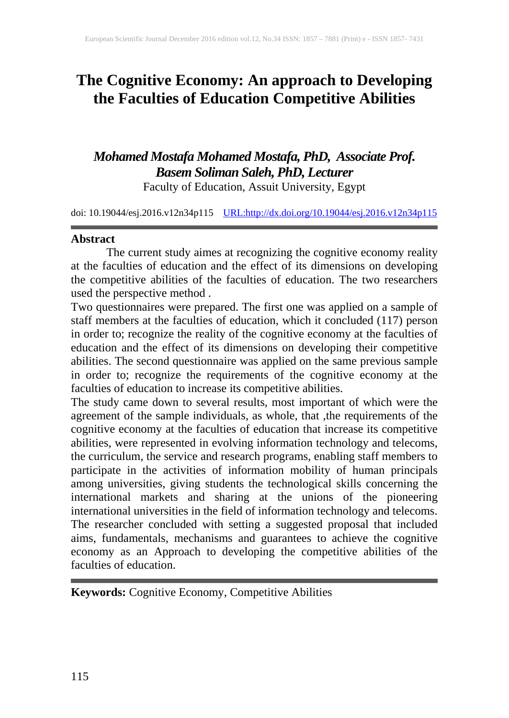# **The Cognitive Economy: An approach to Developing the Faculties of Education Competitive Abilities**

## *Mohamed Mostafa Mohamed Mostafa, PhD, Associate Prof. Basem Soliman Saleh, PhD, Lecturer* Faculty of Education, Assuit University, Egypt

doi: 10.19044/esj.2016.v12n34p115 [URL:http://dx.doi.org/10.19044/esj.2016.v12n34p115](http://dx.doi.org/10.19044/esj.2016.v12n34p115)

### **Abstract**

The current study aimes at recognizing the cognitive economy reality at the faculties of education and the effect of its dimensions on developing the competitive abilities of the faculties of education. The two researchers used the perspective method .

Two questionnaires were prepared. The first one was applied on a sample of staff members at the faculties of education, which it concluded (117) person in order to; recognize the reality of the cognitive economy at the faculties of education and the effect of its dimensions on developing their competitive abilities. The second questionnaire was applied on the same previous sample in order to; recognize the requirements of the cognitive economy at the faculties of education to increase its competitive abilities.

The study came down to several results, most important of which were the agreement of the sample individuals, as whole, that ,the requirements of the cognitive economy at the faculties of education that increase its competitive abilities, were represented in evolving information technology and telecoms, the curriculum, the service and research programs, enabling staff members to participate in the activities of information mobility of human principals among universities, giving students the technological skills concerning the international markets and sharing at the unions of the pioneering international universities in the field of information technology and telecoms. The researcher concluded with setting a suggested proposal that included aims, fundamentals, mechanisms and guarantees to achieve the cognitive economy as an Approach to developing the competitive abilities of the faculties of education.

**Keywords:** Cognitive Economy, Competitive Abilities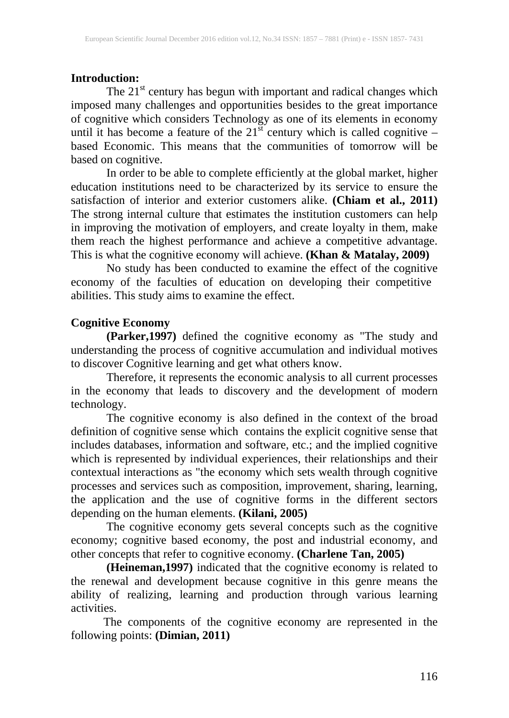### **Introduction:**

The 21<sup>st</sup> century has begun with important and radical changes which imposed many challenges and opportunities besides to the great importance of cognitive which considers Technology as one of its elements in economy until it has become a feature of the  $21^{st}$  century which is called cognitive – based Economic. This means that the communities of tomorrow will be based on cognitive.

In order to be able to complete efficiently at the global market, higher education institutions need to be characterized by its service to ensure the satisfaction of interior and exterior customers alike. **(Chiam et al., 2011)** The strong internal culture that estimates the institution customers can help in improving the motivation of employers, and create loyalty in them, make them reach the highest performance and achieve a competitive advantage. This is what the cognitive economy will achieve. **(Khan & Matalay, 2009)**

No study has been conducted to examine the effect of the cognitive economy of the faculties of education on developing their competitive abilities. This study aims to examine the effect.

### **Cognitive Economy**

**(Parker,1997)** defined the cognitive economy as "The study and understanding the process of cognitive accumulation and individual motives to discover Cognitive learning and get what others know.

Therefore, it represents the economic analysis to all current processes in the economy that leads to discovery and the development of modern technology.

The cognitive economy is also defined in the context of the broad definition of cognitive sense which contains the explicit cognitive sense that includes databases, information and software, etc.; and the implied cognitive which is represented by individual experiences, their relationships and their contextual interactions as "the economy which sets wealth through cognitive processes and services such as composition, improvement, sharing, learning, the application and the use of cognitive forms in the different sectors depending on the human elements. **(Kilani, 2005)**

The cognitive economy gets several concepts such as the cognitive economy; cognitive based economy, the post and industrial economy, and other concepts that refer to cognitive economy. **(Charlene Tan, 2005)**

**(Heineman,1997)** indicated that the cognitive economy is related to the renewal and development because cognitive in this genre means the ability of realizing, learning and production through various learning activities.

 The components of the cognitive economy are represented in the following points: **(Dimian, 2011)**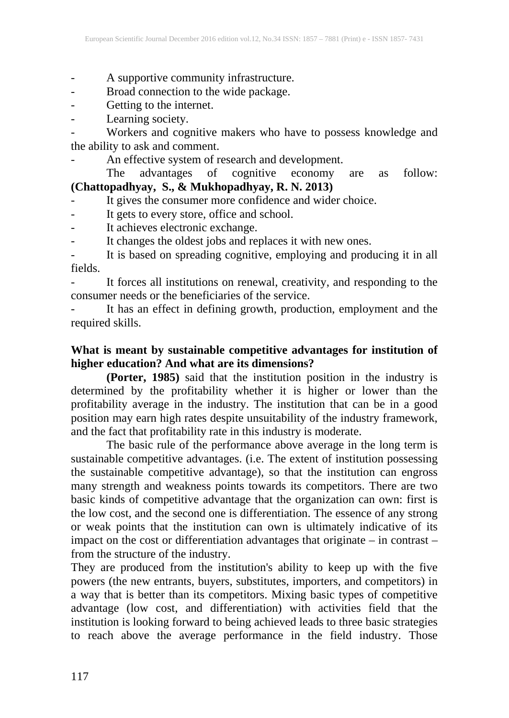- A supportive community infrastructure.
- Broad connection to the wide package.
- Getting to the internet.
- Learning society.

- Workers and cognitive makers who have to possess knowledge and the ability to ask and comment.

An effective system of research and development.<br>The advantages of cognitive economy The advantages of cognitive economy are as follow: **(Chattopadhyay, S., & Mukhopadhyay, R. N. 2013)**

- It gives the consumer more confidence and wider choice.
- It gets to every store, office and school.
- It achieves electronic exchange.
- It changes the oldest jobs and replaces it with new ones.

- It is based on spreading cognitive, employing and producing it in all fields.

It forces all institutions on renewal, creativity, and responding to the consumer needs or the beneficiaries of the service.

It has an effect in defining growth, production, employment and the required skills.

### **What is meant by sustainable competitive advantages for institution of higher education? And what are its dimensions?**

**(Porter, 1985)** said that the institution position in the industry is determined by the profitability whether it is higher or lower than the profitability average in the industry. The institution that can be in a good position may earn high rates despite unsuitability of the industry framework, and the fact that profitability rate in this industry is moderate.

The basic rule of the performance above average in the long term is sustainable competitive advantages. (i.e. The extent of institution possessing the sustainable competitive advantage), so that the institution can engross many strength and weakness points towards its competitors. There are two basic kinds of competitive advantage that the organization can own: first is the low cost, and the second one is differentiation. The essence of any strong or weak points that the institution can own is ultimately indicative of its impact on the cost or differentiation advantages that originate – in contrast – from the structure of the industry.

They are produced from the institution's ability to keep up with the five powers (the new entrants, buyers, substitutes, importers, and competitors) in a way that is better than its competitors. Mixing basic types of competitive advantage (low cost, and differentiation) with activities field that the institution is looking forward to being achieved leads to three basic strategies to reach above the average performance in the field industry. Those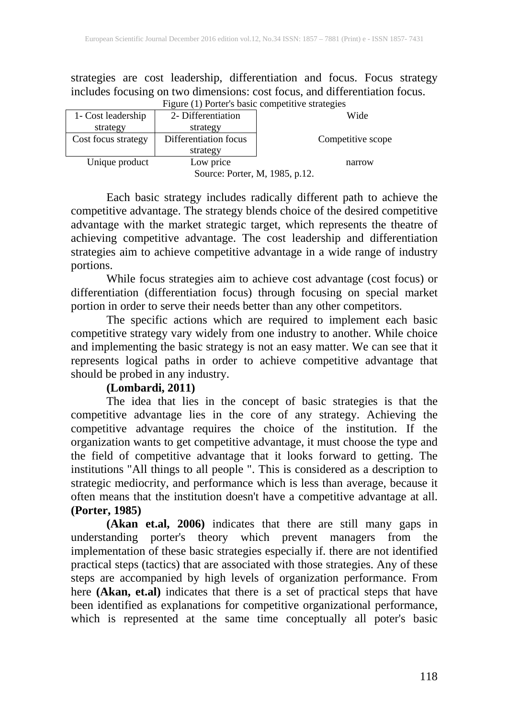strategies are cost leadership, differentiation and focus. Focus strategy includes focusing on two dimensions: cost focus, and differentiation focus. Figure (1) Porter's basic competitive strategies

|                                | I Iguit (I) I bitti s'uasit competitive strategies |                   |  |  |  |  |  |
|--------------------------------|----------------------------------------------------|-------------------|--|--|--|--|--|
| 1- Cost leadership             | 2- Differentiation                                 | Wide              |  |  |  |  |  |
| strategy                       | strategy                                           |                   |  |  |  |  |  |
| Cost focus strategy            | Differentiation focus                              | Competitive scope |  |  |  |  |  |
|                                | strategy                                           |                   |  |  |  |  |  |
| Unique product                 | Low price                                          | narrow            |  |  |  |  |  |
| Source: Porter, M, 1985, p.12. |                                                    |                   |  |  |  |  |  |

Each basic strategy includes radically different path to achieve the competitive advantage. The strategy blends choice of the desired competitive advantage with the market strategic target, which represents the theatre of achieving competitive advantage. The cost leadership and differentiation strategies aim to achieve competitive advantage in a wide range of industry portions.

While focus strategies aim to achieve cost advantage (cost focus) or differentiation (differentiation focus) through focusing on special market portion in order to serve their needs better than any other competitors.

The specific actions which are required to implement each basic competitive strategy vary widely from one industry to another. While choice and implementing the basic strategy is not an easy matter. We can see that it represents logical paths in order to achieve competitive advantage that should be probed in any industry.

## **(Lombardi, 2011)**

The idea that lies in the concept of basic strategies is that the competitive advantage lies in the core of any strategy. Achieving the competitive advantage requires the choice of the institution. If the organization wants to get competitive advantage, it must choose the type and the field of competitive advantage that it looks forward to getting. The institutions "All things to all people ". This is considered as a description to strategic mediocrity, and performance which is less than average, because it often means that the institution doesn't have a competitive advantage at all. **(Porter, 1985)**

**(Akan et.al, 2006)** indicates that there are still many gaps in understanding porter's theory which prevent managers from the implementation of these basic strategies especially if. there are not identified practical steps (tactics) that are associated with those strategies. Any of these steps are accompanied by high levels of organization performance. From here **(Akan, et.al)** indicates that there is a set of practical steps that have been identified as explanations for competitive organizational performance, which is represented at the same time conceptually all poter's basic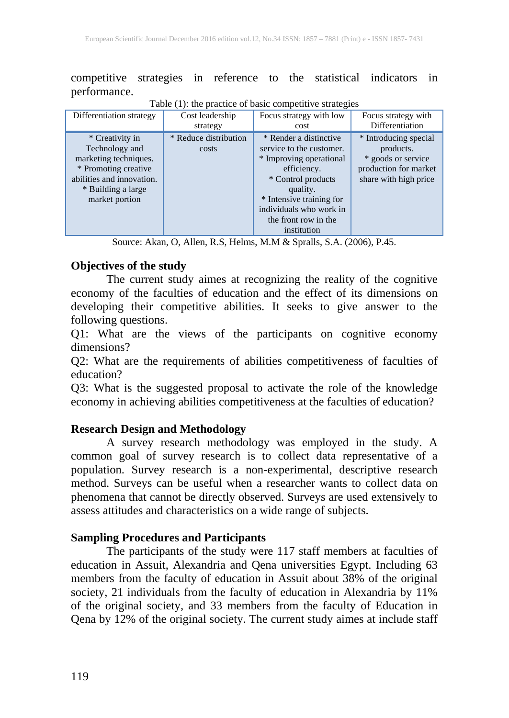competitive strategies in reference to the statistical indicators in performance.

| Differentiation strategy                                                                                                                                | Cost leadership                | Focus strategy with low                                                                                                                                                                                                      | Focus strategy with                                                                                        |
|---------------------------------------------------------------------------------------------------------------------------------------------------------|--------------------------------|------------------------------------------------------------------------------------------------------------------------------------------------------------------------------------------------------------------------------|------------------------------------------------------------------------------------------------------------|
|                                                                                                                                                         | strategy                       | cost                                                                                                                                                                                                                         | Differentiation                                                                                            |
| * Creativity in<br>Technology and<br>marketing techniques.<br>* Promoting creative<br>abilities and innovation.<br>* Building a large<br>market portion | * Reduce distribution<br>costs | * Render a distinctive<br>service to the customer.<br>* Improving operational<br>efficiency.<br>* Control products<br>quality.<br>* Intensive training for<br>individuals who work in<br>the front row in the<br>institution | * Introducing special<br>products.<br>* goods or service<br>production for market<br>share with high price |

Table  $(1)$ : the practice of basic competitive strategies

Source: Akan, O, Allen, R.S, Helms, M.M & Spralls, S.A. (2006), P.45.

### **Objectives of the study**

The current study aimes at recognizing the reality of the cognitive economy of the faculties of education and the effect of its dimensions on developing their competitive abilities. It seeks to give answer to the following questions.

Q1: What are the views of the participants on cognitive economy dimensions?

Q2: What are the requirements of abilities competitiveness of faculties of education?

Q3: What is the suggested proposal to activate the role of the knowledge economy in achieving abilities competitiveness at the faculties of education?

### **Research Design and Methodology**

A survey research methodology was employed in the study. A common goal of survey research is to collect data representative of a population. Survey research is a non-experimental, descriptive research method. Surveys can be useful when a researcher wants to collect data on phenomena that cannot be directly observed. Surveys are used extensively to assess attitudes and characteristics on a wide range of subjects.

### **Sampling Procedures and Participants**

The participants of the study were 117 staff members at faculties of education in Assuit, Alexandria and Qena universities Egypt. Including 63 members from the faculty of education in Assuit about 38% of the original society, 21 individuals from the faculty of education in Alexandria by 11% of the original society, and 33 members from the faculty of Education in Qena by 12% of the original society. The current study aimes at include staff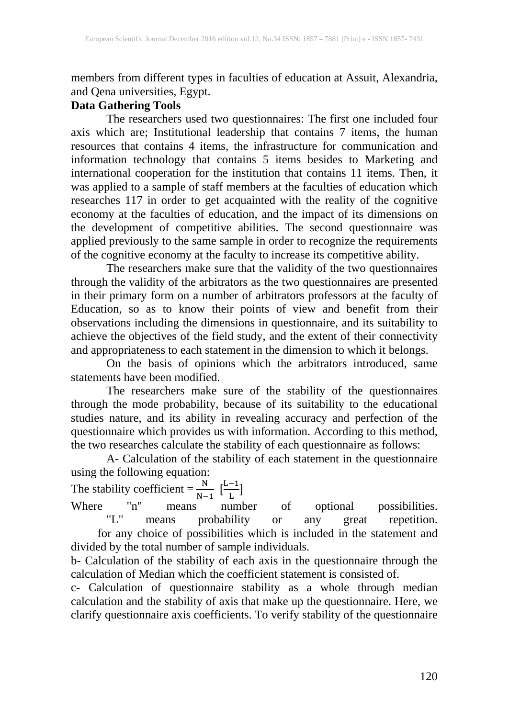members from different types in faculties of education at Assuit, Alexandria, and Qena universities, Egypt.

## **Data Gathering Tools**

The researchers used two questionnaires: The first one included four axis which are; Institutional leadership that contains 7 items, the human resources that contains 4 items, the infrastructure for communication and information technology that contains 5 items besides to Marketing and international cooperation for the institution that contains 11 items. Then, it was applied to a sample of staff members at the faculties of education which researches 117 in order to get acquainted with the reality of the cognitive economy at the faculties of education, and the impact of its dimensions on the development of competitive abilities. The second questionnaire was applied previously to the same sample in order to recognize the requirements of the cognitive economy at the faculty to increase its competitive ability.

The researchers make sure that the validity of the two questionnaires through the validity of the arbitrators as the two questionnaires are presented in their primary form on a number of arbitrators professors at the faculty of Education, so as to know their points of view and benefit from their observations including the dimensions in questionnaire, and its suitability to achieve the objectives of the field study, and the extent of their connectivity and appropriateness to each statement in the dimension to which it belongs.

On the basis of opinions which the arbitrators introduced, same statements have been modified.

The researchers make sure of the stability of the questionnaires through the mode probability, because of its suitability to the educational studies nature, and its ability in revealing accuracy and perfection of the questionnaire which provides us with information. According to this method, the two researches calculate the stability of each questionnaire as follows:

A- Calculation of the stability of each statement in the questionnaire using the following equation:

The stability coefficient =  $\frac{N}{N-1}$   $\left[\frac{L-1}{L}\right]$ 

Where "n" means number of optional possibilities.<br>"L" means probability or any great repetition. means probability or any great for any choice of possibilities which is included in the statement and divided by the total number of sample individuals.

b- Calculation of the stability of each axis in the questionnaire through the calculation of Median which the coefficient statement is consisted of.

c- Calculation of questionnaire stability as a whole through median calculation and the stability of axis that make up the questionnaire. Here, we clarify questionnaire axis coefficients. To verify stability of the questionnaire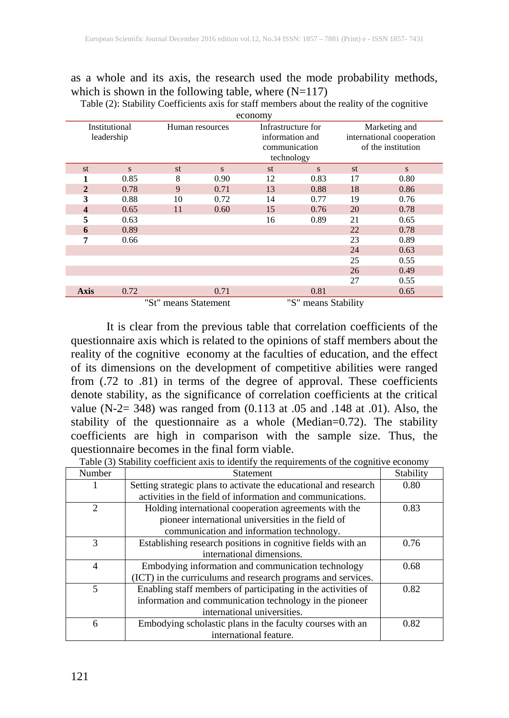#### as a whole and its axis, the research used the mode probability methods, which is shown in the following table, where  $(N=117)$

| economy                                     |               |                 |      |                 |                    |    |                           |  |
|---------------------------------------------|---------------|-----------------|------|-----------------|--------------------|----|---------------------------|--|
|                                             | Institutional | Human resources |      |                 | Infrastructure for |    | Marketing and             |  |
|                                             | leadership    |                 |      | information and |                    |    | international cooperation |  |
|                                             |               |                 |      | communication   |                    |    | of the institution        |  |
|                                             |               |                 |      | technology      |                    |    |                           |  |
| st                                          | S             | st              | S    | st              | S                  | st | ${\bf S}$                 |  |
|                                             | 0.85          | 8               | 0.90 | 12              | 0.83               | 17 | 0.80                      |  |
| $\overline{2}$                              | 0.78          | 9               | 0.71 | 13              | 0.88               | 18 | 0.86                      |  |
| 3                                           | 0.88          | 10              | 0.72 | 14              | 0.77               | 19 | 0.76                      |  |
| $\overline{\mathbf{4}}$                     | 0.65          | 11              | 0.60 | 15              | 0.76               | 20 | 0.78                      |  |
| 5                                           | 0.63          |                 |      | 16              | 0.89               | 21 | 0.65                      |  |
| 6                                           | 0.89          |                 |      |                 |                    | 22 | 0.78                      |  |
| 7                                           | 0.66          |                 |      |                 |                    | 23 | 0.89                      |  |
|                                             |               |                 |      |                 |                    | 24 | 0.63                      |  |
|                                             |               |                 |      |                 |                    | 25 | 0.55                      |  |
|                                             |               |                 |      |                 |                    | 26 | 0.49                      |  |
|                                             |               |                 |      |                 |                    | 27 | 0.55                      |  |
| <b>Axis</b>                                 | 0.72          |                 | 0.71 |                 | 0.81               |    | 0.65                      |  |
| "St" means Statement<br>"S" means Stability |               |                 |      |                 |                    |    |                           |  |

Table (2): Stability Coefficients axis for staff members about the reality of the cognitive

It is clear from the previous table that correlation coefficients of the questionnaire axis which is related to the opinions of staff members about the reality of the cognitive economy at the faculties of education, and the effect of its dimensions on the development of competitive abilities were ranged from (.72 to .81) in terms of the degree of approval. These coefficients denote stability, as the significance of correlation coefficients at the critical value (N-2= 348) was ranged from (0.113 at .05 and .148 at .01). Also, the stability of the questionnaire as a whole (Median=0.72). The stability coefficients are high in comparison with the sample size. Thus, the questionnaire becomes in the final form viable.

|                | Table (3) Stability coefficient axis to identify the requirements of the cognitive economy |           |  |  |  |
|----------------|--------------------------------------------------------------------------------------------|-----------|--|--|--|
| Number         | Statement                                                                                  | Stability |  |  |  |
|                | Setting strategic plans to activate the educational and research                           | 0.80      |  |  |  |
|                | activities in the field of information and communications.                                 |           |  |  |  |
| $\mathfrak{D}$ | Holding international cooperation agreements with the                                      | 0.83      |  |  |  |
|                | pioneer international universities in the field of                                         |           |  |  |  |
|                | communication and information technology.                                                  |           |  |  |  |
| 3              | Establishing research positions in cognitive fields with an                                | 0.76      |  |  |  |
|                | international dimensions.                                                                  |           |  |  |  |
| 4              | Embodying information and communication technology                                         | 0.68      |  |  |  |
|                | (ICT) in the curriculums and research programs and services.                               |           |  |  |  |
| 5              | Enabling staff members of participating in the activities of                               | 0.82      |  |  |  |
|                | information and communication technology in the pioneer                                    |           |  |  |  |
|                | international universities.                                                                |           |  |  |  |
| 6              | Embodying scholastic plans in the faculty courses with an                                  | 0.82      |  |  |  |
|                | international feature.                                                                     |           |  |  |  |

Table (3) Stability coefficient axis to identify the requirements of the cognitive economy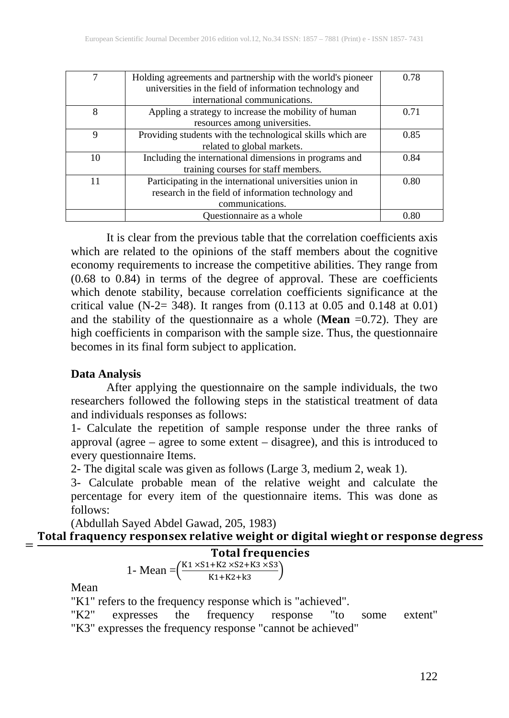|    | Holding agreements and partnership with the world's pioneer | 0.78 |
|----|-------------------------------------------------------------|------|
|    | universities in the field of information technology and     |      |
|    | international communications.                               |      |
| 8  | Appling a strategy to increase the mobility of human        | 0.71 |
|    | resources among universities.                               |      |
| 9  | Providing students with the technological skills which are  | 0.85 |
|    | related to global markets.                                  |      |
| 10 | Including the international dimensions in programs and      | 0.84 |
|    | training courses for staff members.                         |      |
| 11 | Participating in the international universities union in    | 0.80 |
|    | research in the field of information technology and         |      |
|    | communications.                                             |      |
|    | Questionnaire as a whole                                    | 0.80 |

It is clear from the previous table that the correlation coefficients axis which are related to the opinions of the staff members about the cognitive economy requirements to increase the competitive abilities. They range from (0.68 to 0.84) in terms of the degree of approval. These are coefficients which denote stability, because correlation coefficients significance at the critical value (N-2= 348). It ranges from  $(0.113 \text{ at } 0.05 \text{ and } 0.148 \text{ at } 0.01)$ and the stability of the questionnaire as a whole (**Mean** =0.72). They are high coefficients in comparison with the sample size. Thus, the questionnaire becomes in its final form subject to application.

#### **Data Analysis**

After applying the questionnaire on the sample individuals, the two researchers followed the following steps in the statistical treatment of data and individuals responses as follows:

1- Calculate the repetition of sample response under the three ranks of approval (agree – agree to some extent – disagree), and this is introduced to every questionnaire Items.

2- The digital scale was given as follows (Large 3, medium 2, weak 1).

3- Calculate probable mean of the relative weight and calculate the percentage for every item of the questionnaire items. This was done as follows:

(Abdullah Sayed Abdel Gawad, 205, 1983)

## Total fraquency responsex relative weight or digital wieght or response degress

Total frequencies 1- Mean  $=\left(\frac{K1 \times S1 + K2 \times S2 + K3 \times S3}{K1 + K2 + K3}\right)$ 

Mean

"K1" refers to the frequency response which is "achieved".

"K2" expresses the frequency response "to some extent" "K3" expresses the frequency response "cannot be achieved"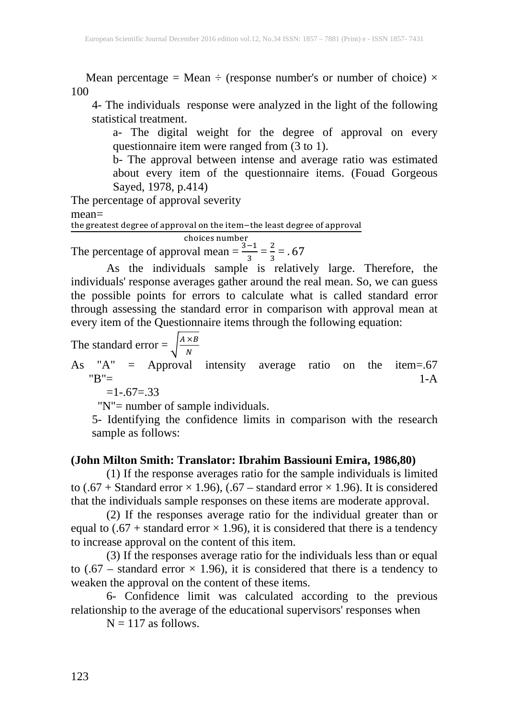Mean percentage = Mean  $\div$  (response number's or number of choice)  $\times$ 100

4- The individuals response were analyzed in the light of the following statistical treatment.

a- The digital weight for the degree of approval on every questionnaire item were ranged from (3 to 1).

b- The approval between intense and average ratio was estimated about every item of the questionnaire items. (Fouad Gorgeous Sayed, 1978, p.414)

The percentage of approval severity

mean=

the greatest degree of approval on the item−the least degree of approval

choices number The percentage of approval mean =  $\frac{3-1}{3} = \frac{2}{3}$  $\frac{2}{3}$  = .67

As the individuals sample is relatively large. Therefore, the individuals' response averages gather around the real mean. So, we can guess the possible points for errors to calculate what is called standard error through assessing the standard error in comparison with approval mean at every item of the Questionnaire items through the following equation:

The standard error = 
$$
\sqrt{\frac{A \times B}{N}}
$$

As "A" = Approval intensity average ratio on the item=.67  $B'' = 1-A$ 

 $=1-.67=0.33$ 

"N"= number of sample individuals.

5- Identifying the confidence limits in comparison with the research sample as follows:

### **(John Milton Smith: Translator: Ibrahim Bassiouni Emira, 1986,80)**

(1) If the response averages ratio for the sample individuals is limited to (.67 + Standard error  $\times$  1.96), (.67 – standard error  $\times$  1.96). It is considered that the individuals sample responses on these items are moderate approval.

(2) If the responses average ratio for the individual greater than or equal to  $(.67 + \text{standard error} \times 1.96)$ , it is considered that there is a tendency to increase approval on the content of this item.

(3) If the responses average ratio for the individuals less than or equal to (.67 – standard error  $\times$  1.96), it is considered that there is a tendency to weaken the approval on the content of these items.

6- Confidence limit was calculated according to the previous relationship to the average of the educational supervisors' responses when

 $N = 117$  as follows.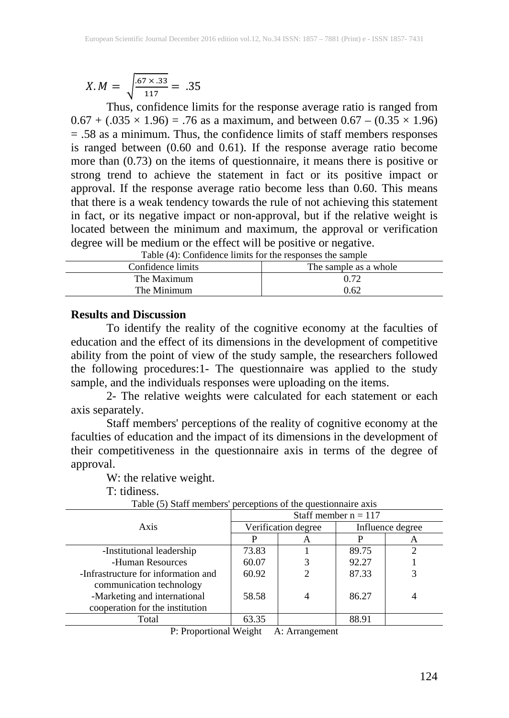$$
X.M = \sqrt{\frac{.67 \times .33}{117}} = .35
$$

Thus, confidence limits for the response average ratio is ranged from  $0.67 + (0.035 \times 1.96) = .76$  as a maximum, and between  $0.67 - (0.35 \times 1.96)$ = .58 as a minimum. Thus, the confidence limits of staff members responses is ranged between (0.60 and 0.61). If the response average ratio become more than (0.73) on the items of questionnaire, it means there is positive or strong trend to achieve the statement in fact or its positive impact or approval. If the response average ratio become less than 0.60. This means that there is a weak tendency towards the rule of not achieving this statement in fact, or its negative impact or non-approval, but if the relative weight is located between the minimum and maximum, the approval or verification degree will be medium or the effect will be positive or negative.

| Tuble (1). Community minimum for the responses the sumple |                       |  |  |  |  |
|-----------------------------------------------------------|-----------------------|--|--|--|--|
| Confidence limits                                         | The sample as a whole |  |  |  |  |
| The Maximum                                               | 0.72                  |  |  |  |  |
| The Minimum                                               | 0.62                  |  |  |  |  |
|                                                           |                       |  |  |  |  |

Table (4): Confidence limits for the responses the sample

#### **Results and Discussion**

To identify the reality of the cognitive economy at the faculties of education and the effect of its dimensions in the development of competitive ability from the point of view of the study sample, the researchers followed the following procedures:1- The questionnaire was applied to the study sample, and the individuals responses were uploading on the items.

2- The relative weights were calculated for each statement or each axis separately.

Staff members' perceptions of the reality of cognitive economy at the faculties of education and the impact of its dimensions in the development of their competitiveness in the questionnaire axis in terms of the degree of approval.

W: the relative weight.

T: tidiness.

|                                     | Staff member $n = 117$ |                     |                  |   |  |
|-------------------------------------|------------------------|---------------------|------------------|---|--|
| Axis                                |                        | Verification degree | Influence degree |   |  |
|                                     |                        | A                   |                  | A |  |
| -Institutional leadership           | 73.83                  |                     | 89.75            |   |  |
| -Human Resources                    | 60.07                  |                     | 92.27            |   |  |
| -Infrastructure for information and | 60.92                  |                     | 87.33            |   |  |
| communication technology            |                        |                     |                  |   |  |
| -Marketing and international        | 58.58                  |                     | 86.27            |   |  |
| cooperation for the institution     |                        |                     |                  |   |  |
| Total                               | 63.35                  |                     | 88.91            |   |  |
|                                     |                        |                     |                  |   |  |

Table (5) Staff members' perceptions of the questionnaire axis

P: Proportional Weight A: Arrangement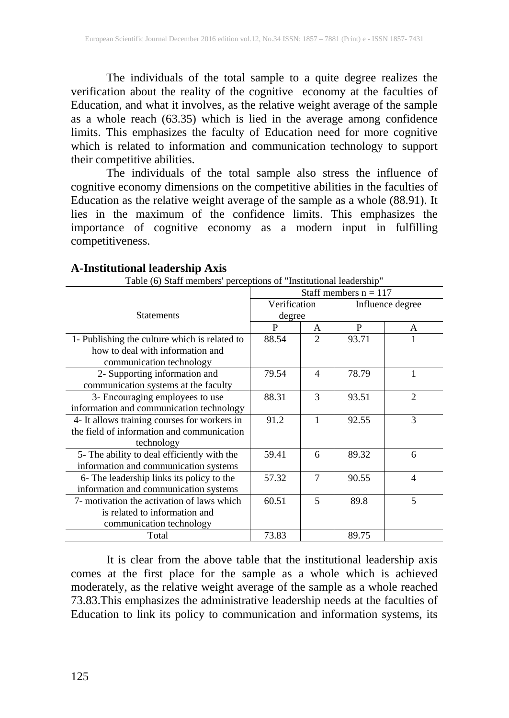The individuals of the total sample to a quite degree realizes the verification about the reality of the cognitive economy at the faculties of Education, and what it involves, as the relative weight average of the sample as a whole reach (63.35) which is lied in the average among confidence limits. This emphasizes the faculty of Education need for more cognitive which is related to information and communication technology to support their competitive abilities.

The individuals of the total sample also stress the influence of cognitive economy dimensions on the competitive abilities in the faculties of Education as the relative weight average of the sample as a whole (88.91). It lies in the maximum of the confidence limits. This emphasizes the importance of cognitive economy as a modern input in fulfilling competitiveness.

| Table (0) Starf members perceptions of misututional leadership |                         |                |                  |                |
|----------------------------------------------------------------|-------------------------|----------------|------------------|----------------|
|                                                                | Staff members $n = 117$ |                |                  |                |
|                                                                | Verification            |                | Influence degree |                |
| <b>Statements</b>                                              | degree                  |                |                  |                |
|                                                                | P                       | A              | P                | A              |
| 1- Publishing the culture which is related to                  | 88.54                   | $\mathfrak{D}$ | 93.71            |                |
| how to deal with information and                               |                         |                |                  |                |
| communication technology                                       |                         |                |                  |                |
| 2- Supporting information and                                  | 79.54                   | $\overline{4}$ | 78.79            | 1              |
| communication systems at the faculty                           |                         |                |                  |                |
| 3- Encouraging employees to use                                | 88.31                   | 3              | 93.51            | $\overline{2}$ |
| information and communication technology                       |                         |                |                  |                |
| 4- It allows training courses for workers in                   | 91.2                    | 1              | 92.55            | 3              |
| the field of information and communication                     |                         |                |                  |                |
| technology                                                     |                         |                |                  |                |
| 5- The ability to deal efficiently with the                    | 59.41                   | 6              | 89.32            | 6              |
| information and communication systems                          |                         |                |                  |                |
| 6- The leadership links its policy to the                      | 57.32                   | 7              | 90.55            | 4              |
| information and communication systems                          |                         |                |                  |                |
| 7- motivation the activation of laws which                     | 60.51                   | 5              | 89.8             | 5              |
| is related to information and                                  |                         |                |                  |                |
| communication technology                                       |                         |                |                  |                |
| Total                                                          | 73.83                   |                | 89.75            |                |

#### **A-Institutional leadership Axis**

Table (6) Staff members' perceptions of "Institutional leadership"

It is clear from the above table that the institutional leadership axis comes at the first place for the sample as a whole which is achieved moderately, as the relative weight average of the sample as a whole reached 73.83.This emphasizes the administrative leadership needs at the faculties of Education to link its policy to communication and information systems, its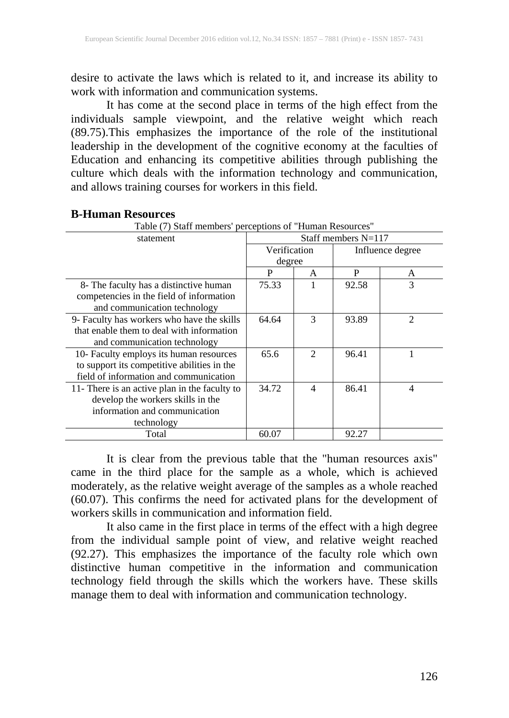desire to activate the laws which is related to it, and increase its ability to work with information and communication systems.

It has come at the second place in terms of the high effect from the individuals sample viewpoint, and the relative weight which reach (89.75).This emphasizes the importance of the role of the institutional leadership in the development of the cognitive economy at the faculties of Education and enhancing its competitive abilities through publishing the culture which deals with the information technology and communication, and allows training courses for workers in this field.

| Table (7) Staff members' perceptions of "Human Resources" |                     |                             |       |                  |
|-----------------------------------------------------------|---------------------|-----------------------------|-------|------------------|
| statement                                                 | Staff members N=117 |                             |       |                  |
|                                                           | Verification        |                             |       | Influence degree |
|                                                           | degree              |                             |       |                  |
|                                                           | P                   | A                           | P     | A                |
| 8- The faculty has a distinctive human                    | 75.33               | 1                           | 92.58 | 3                |
| competencies in the field of information                  |                     |                             |       |                  |
| and communication technology                              |                     |                             |       |                  |
| 9- Faculty has workers who have the skills                | 64.64               | 3                           | 93.89 | $\mathfrak{D}$   |
| that enable them to deal with information                 |                     |                             |       |                  |
| and communication technology                              |                     |                             |       |                  |
| 10- Faculty employs its human resources                   | 65.6                | $\mathcal{D}_{\mathcal{L}}$ | 96.41 |                  |
| to support its competitive abilities in the               |                     |                             |       |                  |
| field of information and communication                    |                     |                             |       |                  |
| 11- There is an active plan in the faculty to             | 34.72               | $\overline{4}$              | 86.41 | 4                |
| develop the workers skills in the                         |                     |                             |       |                  |
| information and communication                             |                     |                             |       |                  |
| technology                                                |                     |                             |       |                  |
| Total                                                     | 60.07               |                             | 92.27 |                  |

#### **B-Human Resources**

It is clear from the previous table that the "human resources axis" came in the third place for the sample as a whole, which is achieved moderately, as the relative weight average of the samples as a whole reached (60.07). This confirms the need for activated plans for the development of workers skills in communication and information field.

It also came in the first place in terms of the effect with a high degree from the individual sample point of view, and relative weight reached (92.27). This emphasizes the importance of the faculty role which own distinctive human competitive in the information and communication technology field through the skills which the workers have. These skills manage them to deal with information and communication technology.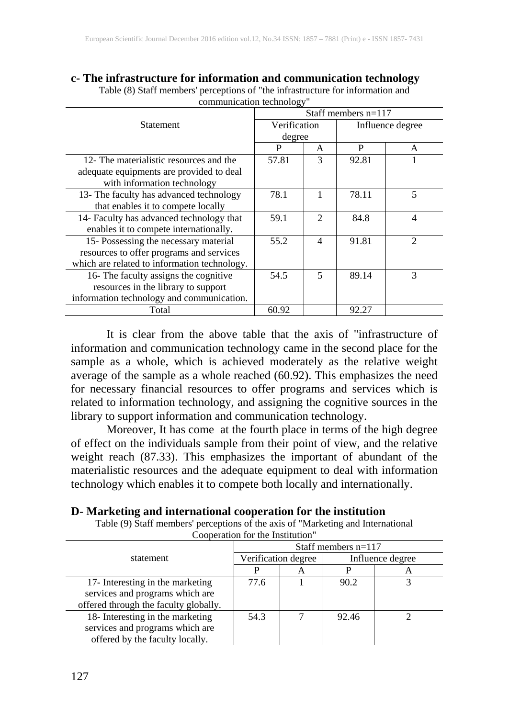### **c- The infrastructure for information and communication technology**

| communication technology                     |                       |                             |                  |                |  |
|----------------------------------------------|-----------------------|-----------------------------|------------------|----------------|--|
|                                              | Staff members $n=117$ |                             |                  |                |  |
| <b>Statement</b>                             | Verification          |                             | Influence degree |                |  |
|                                              | degree                |                             |                  |                |  |
|                                              | P                     | A                           | P                | A              |  |
| 12- The materialistic resources and the      | 57.81                 | 3                           | 92.81            |                |  |
| adequate equipments are provided to deal     |                       |                             |                  |                |  |
| with information technology                  |                       |                             |                  |                |  |
| 13- The faculty has advanced technology      | 78.1                  |                             | 78.11            | 5              |  |
| that enables it to compete locally           |                       |                             |                  |                |  |
| 14- Faculty has advanced technology that     | 59.1                  | $\mathcal{D}_{\mathcal{L}}$ | 84.8             | 4              |  |
| enables it to compete internationally.       |                       |                             |                  |                |  |
| 15- Possessing the necessary material        | 55.2                  | $\overline{4}$              | 91.81            | $\mathfrak{D}$ |  |
| resources to offer programs and services     |                       |                             |                  |                |  |
| which are related to information technology. |                       |                             |                  |                |  |
| 16- The faculty assigns the cognitive        | 54.5                  | 5                           | 89.14            | 3              |  |
| resources in the library to support          |                       |                             |                  |                |  |
| information technology and communication.    |                       |                             |                  |                |  |
| Total                                        | 60.92                 |                             | 92.27            |                |  |

Table (8) Staff members' perceptions of "the infrastructure for information and communication technology"

It is clear from the above table that the axis of "infrastructure of information and communication technology came in the second place for the sample as a whole, which is achieved moderately as the relative weight average of the sample as a whole reached (60.92). This emphasizes the need for necessary financial resources to offer programs and services which is related to information technology, and assigning the cognitive sources in the library to support information and communication technology.

Moreover, It has come at the fourth place in terms of the high degree of effect on the individuals sample from their point of view, and the relative weight reach (87.33). This emphasizes the important of abundant of the materialistic resources and the adequate equipment to deal with information technology which enables it to compete both locally and internationally.

| D- Marketing and international cooperation for the institution |  |  |
|----------------------------------------------------------------|--|--|
|----------------------------------------------------------------|--|--|

Table (9) Staff members' perceptions of the axis of "Marketing and International Cooperation for the Institution"

|                                       | Staff members $n=117$ |   |                  |   |  |
|---------------------------------------|-----------------------|---|------------------|---|--|
| statement                             | Verification degree   |   | Influence degree |   |  |
|                                       |                       | A |                  | A |  |
| 17- Interesting in the marketing      | 77.6                  |   | 90.2             |   |  |
| services and programs which are       |                       |   |                  |   |  |
| offered through the faculty globally. |                       |   |                  |   |  |
| 18- Interesting in the marketing      | 54.3                  |   | 92.46            |   |  |
| services and programs which are       |                       |   |                  |   |  |
| offered by the faculty locally.       |                       |   |                  |   |  |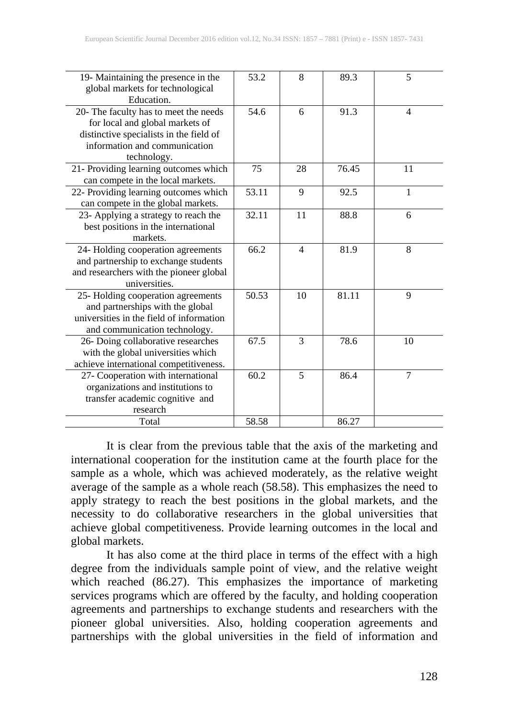| 19- Maintaining the presence in the<br>global markets for technological<br>Education.                                                                               | 53.2  | 8                        | 89.3  | 5              |
|---------------------------------------------------------------------------------------------------------------------------------------------------------------------|-------|--------------------------|-------|----------------|
| 20- The faculty has to meet the needs<br>for local and global markets of<br>distinctive specialists in the field of<br>information and communication<br>technology. | 54.6  | 6                        | 91.3  | $\overline{4}$ |
| 21- Providing learning outcomes which<br>can compete in the local markets.                                                                                          | 75    | 28                       | 76.45 | 11             |
| 22- Providing learning outcomes which<br>can compete in the global markets.                                                                                         | 53.11 | 9                        | 92.5  | $\mathbf{1}$   |
| 23- Applying a strategy to reach the<br>best positions in the international<br>markets.                                                                             | 32.11 | 11                       | 88.8  | 6              |
| 24- Holding cooperation agreements<br>and partnership to exchange students<br>and researchers with the pioneer global<br>universities.                              | 66.2  | $\overline{\mathcal{L}}$ | 81.9  | 8              |
| 25- Holding cooperation agreements<br>and partnerships with the global<br>universities in the field of information<br>and communication technology.                 | 50.53 | 10                       | 81.11 | 9              |
| 26- Doing collaborative researches<br>with the global universities which<br>achieve international competitiveness.                                                  | 67.5  | 3                        | 78.6  | 10             |
| 27- Cooperation with international<br>organizations and institutions to<br>transfer academic cognitive and<br>research                                              | 60.2  | 5                        | 86.4  | $\overline{7}$ |
| Total                                                                                                                                                               | 58.58 |                          | 86.27 |                |

It is clear from the previous table that the axis of the marketing and international cooperation for the institution came at the fourth place for the sample as a whole, which was achieved moderately, as the relative weight average of the sample as a whole reach (58.58). This emphasizes the need to apply strategy to reach the best positions in the global markets, and the necessity to do collaborative researchers in the global universities that achieve global competitiveness. Provide learning outcomes in the local and global markets.

It has also come at the third place in terms of the effect with a high degree from the individuals sample point of view, and the relative weight which reached (86.27). This emphasizes the importance of marketing services programs which are offered by the faculty, and holding cooperation agreements and partnerships to exchange students and researchers with the pioneer global universities. Also, holding cooperation agreements and partnerships with the global universities in the field of information and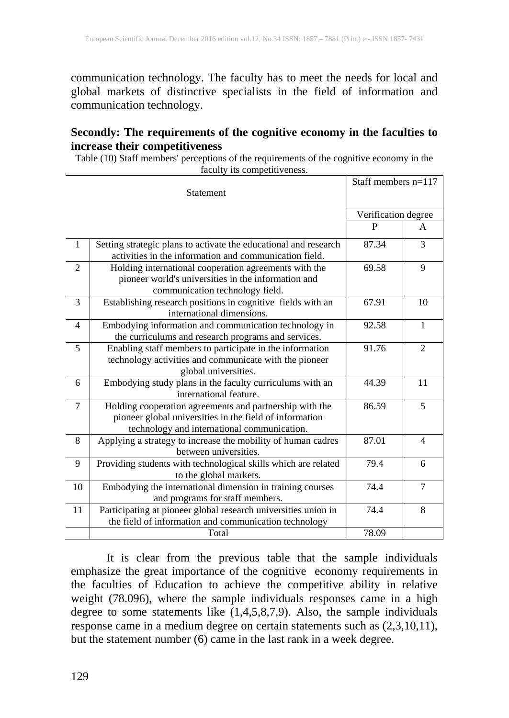communication technology. The faculty has to meet the needs for local and global markets of distinctive specialists in the field of information and communication technology.

#### **Secondly: The requirements of the cognitive economy in the faculties to increase their competitiveness**

Table (10) Staff members' perceptions of the requirements of the cognitive economy in the faculty its competitiveness.

| Statement      |                                                                                                                                                                   | Staff members $n=117$ |                     |  |
|----------------|-------------------------------------------------------------------------------------------------------------------------------------------------------------------|-----------------------|---------------------|--|
|                |                                                                                                                                                                   |                       | Verification degree |  |
|                |                                                                                                                                                                   | P                     | A                   |  |
| 1              | Setting strategic plans to activate the educational and research<br>activities in the information and communication field.                                        | 87.34                 | 3                   |  |
| $\overline{2}$ | Holding international cooperation agreements with the<br>pioneer world's universities in the information and<br>communication technology field.                   | 69.58                 | 9                   |  |
| 3              | Establishing research positions in cognitive fields with an<br>international dimensions.                                                                          | 67.91                 | 10                  |  |
| 4              | Embodying information and communication technology in<br>the curriculums and research programs and services.                                                      | 92.58                 | $\mathbf{1}$        |  |
| 5              | Enabling staff members to participate in the information<br>technology activities and communicate with the pioneer<br>global universities.                        | 91.76                 | $\mathfrak{D}$      |  |
| 6              | Embodying study plans in the faculty curriculums with an<br>international feature.                                                                                | 44.39                 | 11                  |  |
| 7              | Holding cooperation agreements and partnership with the<br>pioneer global universities in the field of information<br>technology and international communication. | 86.59                 | 5                   |  |
| 8              | Applying a strategy to increase the mobility of human cadres<br>between universities.                                                                             | 87.01                 | $\overline{4}$      |  |
| 9              | Providing students with technological skills which are related<br>to the global markets.                                                                          | 79.4                  | 6                   |  |
| 10             | Embodying the international dimension in training courses<br>and programs for staff members.                                                                      | 74.4                  | $\overline{7}$      |  |
| 11             | Participating at pioneer global research universities union in<br>the field of information and communication technology                                           | 74.4                  | 8                   |  |
|                | Total                                                                                                                                                             | 78.09                 |                     |  |

It is clear from the previous table that the sample individuals emphasize the great importance of the cognitive economy requirements in the faculties of Education to achieve the competitive ability in relative weight (78.096), where the sample individuals responses came in a high degree to some statements like (1,4,5,8,7,9). Also, the sample individuals response came in a medium degree on certain statements such as (2,3,10,11), but the statement number (6) came in the last rank in a week degree.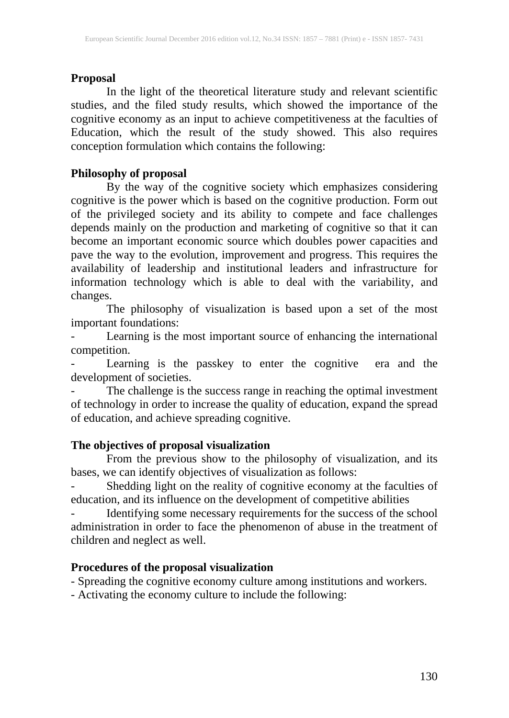### **Proposal**

In the light of the theoretical literature study and relevant scientific studies, and the filed study results, which showed the importance of the cognitive economy as an input to achieve competitiveness at the faculties of Education, which the result of the study showed. This also requires conception formulation which contains the following:

### **Philosophy of proposal**

By the way of the cognitive society which emphasizes considering cognitive is the power which is based on the cognitive production. Form out of the privileged society and its ability to compete and face challenges depends mainly on the production and marketing of cognitive so that it can become an important economic source which doubles power capacities and pave the way to the evolution, improvement and progress. This requires the availability of leadership and institutional leaders and infrastructure for information technology which is able to deal with the variability, and changes.

The philosophy of visualization is based upon a set of the most important foundations:

Learning is the most important source of enhancing the international competition.

Learning is the passkey to enter the cognitive era and the development of societies.

- The challenge is the success range in reaching the optimal investment of technology in order to increase the quality of education, expand the spread of education, and achieve spreading cognitive.

### **The objectives of proposal visualization**

From the previous show to the philosophy of visualization, and its bases, we can identify objectives of visualization as follows:

- Shedding light on the reality of cognitive economy at the faculties of education, and its influence on the development of competitive abilities

- Identifying some necessary requirements for the success of the school administration in order to face the phenomenon of abuse in the treatment of children and neglect as well.

### **Procedures of the proposal visualization**

- Spreading the cognitive economy culture among institutions and workers.

- Activating the economy culture to include the following: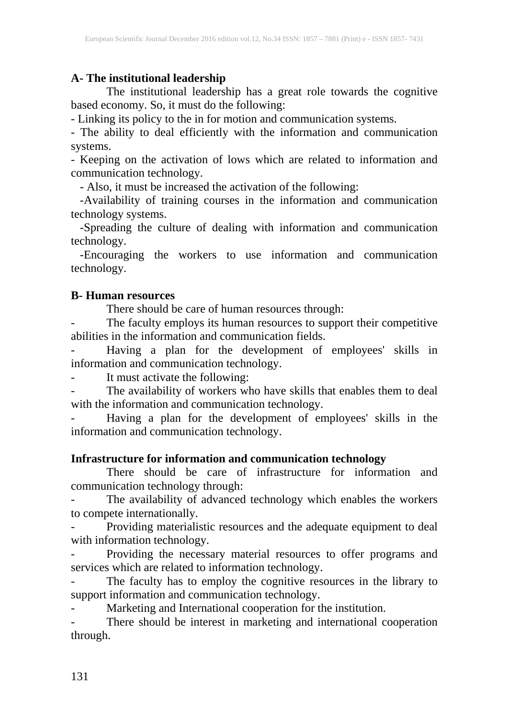#### **A- The institutional leadership**

The institutional leadership has a great role towards the cognitive based economy. So, it must do the following:

- Linking its policy to the in for motion and communication systems.

- The ability to deal efficiently with the information and communication systems.

- Keeping on the activation of lows which are related to information and communication technology.

- Also, it must be increased the activation of the following:

 -Availability of training courses in the information and communication technology systems.

 -Spreading the culture of dealing with information and communication technology.

 -Encouraging the workers to use information and communication technology.

#### **B- Human resources**

There should be care of human resources through:

The faculty employs its human resources to support their competitive abilities in the information and communication fields.

- Having a plan for the development of employees' skills in information and communication technology.

It must activate the following:

The availability of workers who have skills that enables them to deal with the information and communication technology.

Having a plan for the development of employees' skills in the information and communication technology.

#### **Infrastructure for information and communication technology**

There should be care of infrastructure for information and communication technology through:

The availability of advanced technology which enables the workers to compete internationally.

- Providing materialistic resources and the adequate equipment to deal with information technology.

- Providing the necessary material resources to offer programs and services which are related to information technology.

- The faculty has to employ the cognitive resources in the library to support information and communication technology.

- Marketing and International cooperation for the institution.

- There should be interest in marketing and international cooperation through.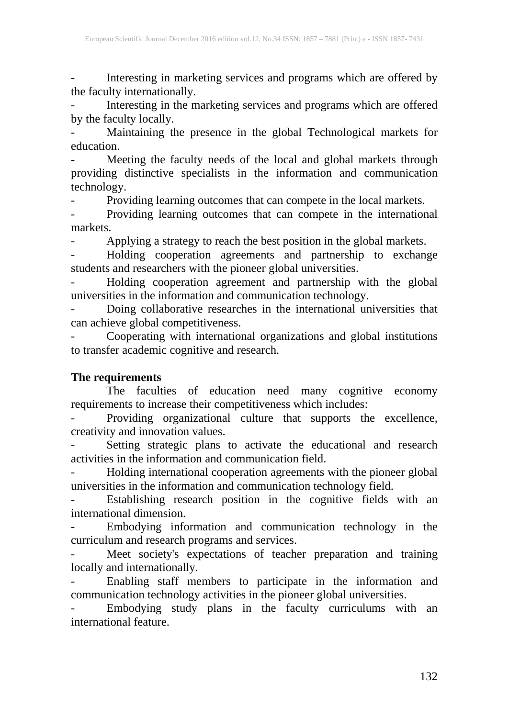Interesting in marketing services and programs which are offered by the faculty internationally.

- Interesting in the marketing services and programs which are offered by the faculty locally.

Maintaining the presence in the global Technological markets for education.

Meeting the faculty needs of the local and global markets through providing distinctive specialists in the information and communication technology.

Providing learning outcomes that can compete in the local markets.

Providing learning outcomes that can compete in the international markets.

- Applying a strategy to reach the best position in the global markets.

- Holding cooperation agreements and partnership to exchange students and researchers with the pioneer global universities.

- Holding cooperation agreement and partnership with the global universities in the information and communication technology.

- Doing collaborative researches in the international universities that can achieve global competitiveness.

- Cooperating with international organizations and global institutions to transfer academic cognitive and research.

#### **The requirements**

The faculties of education need many cognitive economy requirements to increase their competitiveness which includes:

- Providing organizational culture that supports the excellence, creativity and innovation values.

- Setting strategic plans to activate the educational and research activities in the information and communication field.

- Holding international cooperation agreements with the pioneer global universities in the information and communication technology field.

- Establishing research position in the cognitive fields with an international dimension.<br>- Embodying information and communication technology in the

- Embodying information and communication technology in the curriculum and research programs and services.

- Meet society's expectations of teacher preparation and training locally and internationally.

- Enabling staff members to participate in the information and communication technology activities in the pioneer global universities.

- Embodying study plans in the faculty curriculums with an international feature.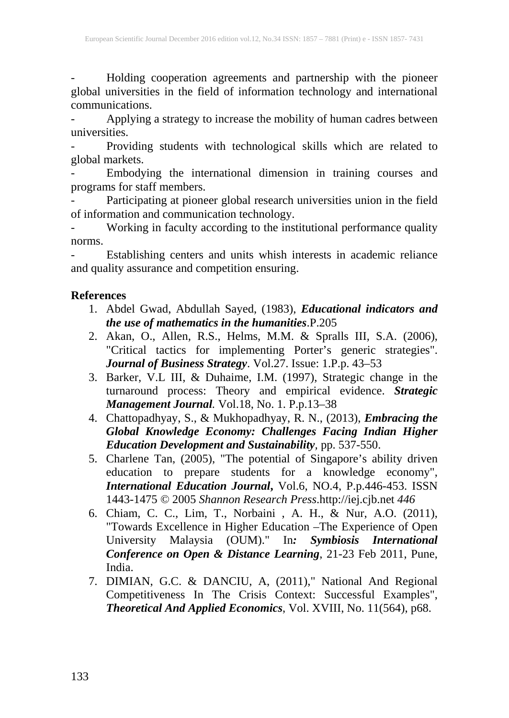- Holding cooperation agreements and partnership with the pioneer global universities in the field of information technology and international communications.

Applying a strategy to increase the mobility of human cadres between universities.

- Providing students with technological skills which are related to global markets.

- Embodying the international dimension in training courses and programs for staff members.

- Participating at pioneer global research universities union in the field of information and communication technology.

- Working in faculty according to the institutional performance quality norms.

Establishing centers and units whish interests in academic reliance and quality assurance and competition ensuring.

### **References**

- 1. Abdel Gwad, Abdullah Sayed, (1983), *Educational indicators and the use of mathematics in the humanities*.P.205
- 2. Akan, O., Allen, R.S., Helms, M.M. & Spralls III, S.A. (2006), "Critical tactics for implementing Porter's generic strategies". *Journal of Business Strategy*. Vol.27. Issue: 1.P.p. 43–53
- 3. Barker, V.L III, & Duhaime, I.M. (1997), Strategic change in the turnaround process: Theory and empirical evidence. *Strategic Management Journal.* Vol.18, No. 1. P.p.13–38
- 4. Chattopadhyay, S., & Mukhopadhyay, R. N., (2013), *Embracing the Global Knowledge Economy: Challenges Facing Indian Higher Education Development and Sustainability,* pp. 537-550.
- 5. Charlene Tan, (2005), "The potential of Singapore's ability driven education to prepare students for a knowledge economy", *International Education Journal***,** Vol.6, NO.4, P.p.446-453. ISSN 1443-1475 © 2005 *Shannon Research Press*.http://iej.cjb.net *446*
- 6. Chiam, C. C., Lim, T., Norbaini , A. H., & Nur, A.O. (2011), "Towards Excellence in Higher Education –The Experience of Open University Malaysia (OUM)." In*: Symbiosis International Conference on Open & Distance Learning*, 21-23 Feb 2011, Pune, India.
- 7. DIMIAN, G.C. & DANCIU, A, (2011)," National And Regional Competitiveness In The Crisis Context: Successful Examples", *Theoretical And Applied Economics*, Vol. XVIII, No. 11(564), p68.